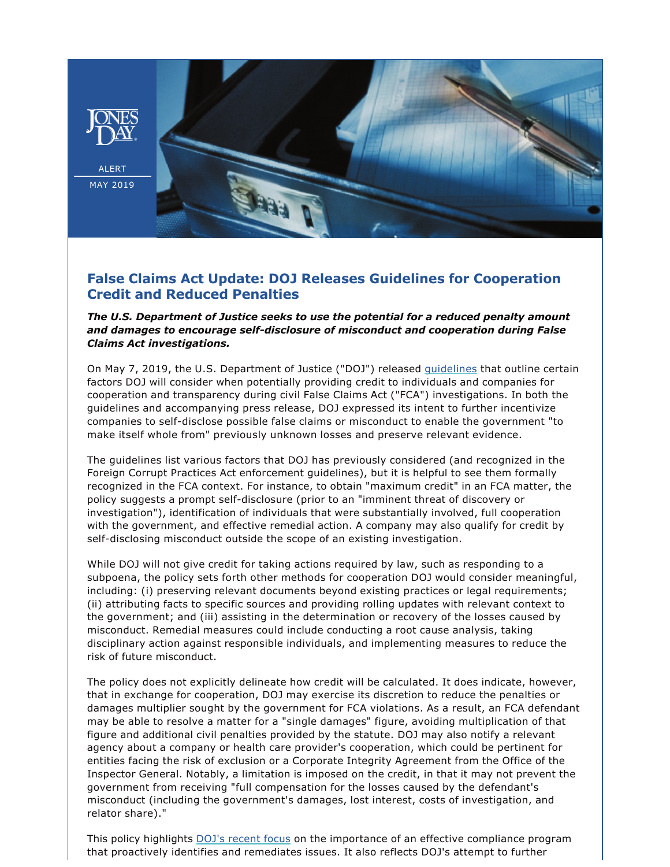

**ALERT** MAY 2019



## **False Claims Act Update: DOJ Releases Guidelines for Cooperation Credit and Reduced Penalties**

## *The U.S. Department of Justice seeks to use the potential for a reduced penalty amount*  and damages to encourage self-disclosure of misconduct and cooperation during False *Claims Act investigations.*

On May 7, 2019, the U.S. Department of Justice ("DOJ") released [guidelines](https://www.justice.gov/opa/pr/department-justice-issues-guidance-false-claims-act-matters-and-updates-justice-manual) that outline certain factors DOJ will consider when potentially providing credit to individuals and companies for cooperation and transparency during civil False Claims Act ("FCA") investigations. In both the guidelines and accompanying press release, DOJ expressed its intent to further incentivize companies to self-disclose possible false claims or misconduct to enable the government "to make itself whole from" previously unknown losses and preserve relevant evidence.

The guidelines list various factors that DOJ has previously considered (and recognized in the Foreign Corrupt Practices Act enforcement guidelines), but it is helpful to see them formally recognized in the FCA context. For instance, to obtain "maximum credit" in an FCA matter, the policy suggests a prompt self-disclosure (prior to an "imminent threat of discovery or investigation"), identification of individuals that were substantially involved, full cooperation with the government, and effective remedial action. A company may also qualify for credit by self-disclosing misconduct outside the scope of an existing investigation.

While DOJ will not give credit for taking actions required by law, such as responding to a subpoena, the policy sets forth other methods for cooperation DOJ would consider meaningful, including: (i) preserving relevant documents beyond existing practices or legal requirements; (ii) attributing facts to specific sources and providing rolling updates with relevant context to the government; and (iii) assisting in the determination or recovery of the losses caused by misconduct. Remedial measures could include conducting a root cause analysis, taking disciplinary action against responsible individuals, and implementing measures to reduce the risk of future misconduct.

The policy does not explicitly delineate how credit will be calculated. It does indicate, however, that in exchange for cooperation, DOJ may exercise its discretion to reduce the penalties or damages multiplier sought by the government for FCA violations. As a result, an FCA defendant may be able to resolve a matter for a "single damages" figure, avoiding multiplication of that figure and additional civil penalties provided by the statute. DOJ may also notify a relevant agency about a company or health care provider's cooperation, which could be pertinent for entities facing the risk of exclusion or a Corporate Integrity Agreement from the Office of the Inspector General. Notably, a limitation is imposed on the credit, in that it may not prevent the government from receiving "full compensation for the losses caused by the defendant's misconduct (including the government's damages, lost interest, costs of investigation, and relator share)."

This policy highlights [DOJ's recent focus](https://www.jonesday.com/files/Publication/f532f550-cb39-47aa-b67b-0a3e374bf25b/Presentation/PublicationAttachment/a8de19a3-683c-448a-bdbc-19bdf4f9b563/DOJ%20Updated%20Guidance.pdf) on the importance of an effective compliance program that proactively identifies and remediates issues. It also reflects DOJ's attempt to further